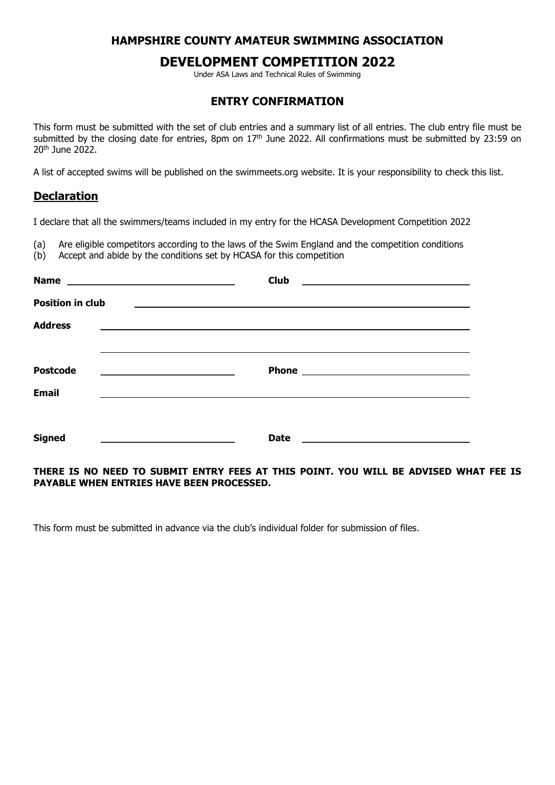## HAMPSHIRE COUNTY AMATEUR SWIMMING ASSOCIATION

# DEVELOPMENT COMPETITION 2022

Under ASA Laws and Technical Rules of Swimming

#### ENTRY CONFIRMATION

This form must be submitted with the set of club entries and a summary list of all entries. The club entry file must be submitted by the closing date for entries, 8pm on  $17<sup>th</sup>$  June 2022. All confirmations must be submitted by 23:59 on 20th June 2022.

A list of accepted swims will be published on the swimmeets.org website. It is your responsibility to check this list.

### Declaration

I declare that all the swimmers/teams included in my entry for the HCASA Development Competition 2022

(a) Are eligible competitors according to the laws of the Swim England and the competition conditions

(b) Accept and abide by the conditions set by HCASA for this competition

|                                                                                                              | <b>Club</b><br><u> 1989 - Johann Stein, mars an deutscher Stein und der Stein und der Stein und der Stein und der Stein und der</u> |
|--------------------------------------------------------------------------------------------------------------|-------------------------------------------------------------------------------------------------------------------------------------|
| <b>Position in club</b>                                                                                      | <u> 1989 - Johann Johann Stoff, deutscher Stoffen und der Stoffen und der Stoffen und der Stoffen und der Stoffen</u>               |
| <b>Address</b>                                                                                               |                                                                                                                                     |
|                                                                                                              |                                                                                                                                     |
| <b>Postcode</b><br>the control of the control of the control of the control of the control of the control of |                                                                                                                                     |
| <b>Email</b>                                                                                                 |                                                                                                                                     |
|                                                                                                              |                                                                                                                                     |
| <b>Signed</b>                                                                                                | <b>Date</b>                                                                                                                         |
|                                                                                                              |                                                                                                                                     |

#### THERE IS NO NEED TO SUBMIT ENTRY FEES AT THIS POINT. YOU WILL BE ADVISED WHAT FEE IS PAYABLE WHEN ENTRIES HAVE BEEN PROCESSED.

This form must be submitted in advance via the club's individual folder for submission of files.